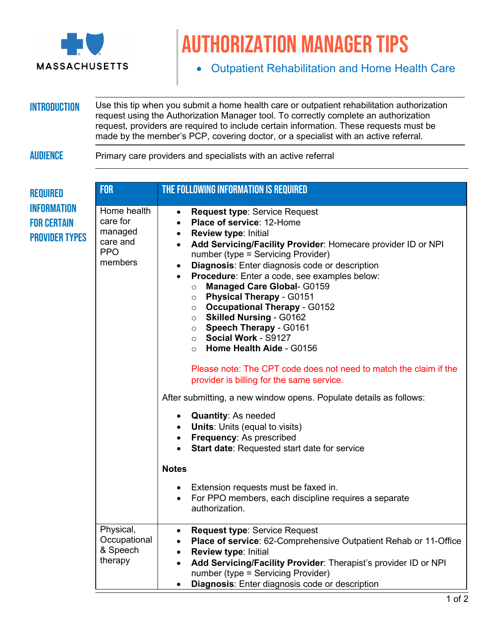

## Authorization manager tips

• Outpatient Rehabilitation and Home Health Care

**INTRODUCTION** Use this tip when you submit a home health care or outpatient rehabilitation authorization request using the Authorization Manager tool. To correctly complete an authorization request, providers are required to include certain information. These requests must be made by the member's PCP, covering doctor, or a specialist with an active referral.

## AUDIENCE Primary care providers and specialists with an active referral

| <b>REQUIRED</b><br><b>INFORMATION</b><br><b>FOR CERTAIN</b><br><b>PROVIDER TYPES</b> | <b>FOR</b>                                                              | THE FOLLOWING INFORMATION IS REQUIRED                                                                                                                                                                                                                                                                                                                                                                                                                                                                                                                                                                                                                                                       |
|--------------------------------------------------------------------------------------|-------------------------------------------------------------------------|---------------------------------------------------------------------------------------------------------------------------------------------------------------------------------------------------------------------------------------------------------------------------------------------------------------------------------------------------------------------------------------------------------------------------------------------------------------------------------------------------------------------------------------------------------------------------------------------------------------------------------------------------------------------------------------------|
|                                                                                      | Home health<br>care for<br>managed<br>care and<br><b>PPO</b><br>members | <b>Request type: Service Request</b><br>$\bullet$<br>Place of service: 12-Home<br>$\bullet$<br><b>Review type: Initial</b><br>$\bullet$<br>Add Servicing/Facility Provider: Homecare provider ID or NPI<br>$\bullet$<br>number (type = Servicing Provider)<br><b>Diagnosis:</b> Enter diagnosis code or description<br>$\bullet$<br>Procedure: Enter a code, see examples below:<br>$\bullet$<br><b>Managed Care Global- G0159</b><br>$\circ$<br><b>Physical Therapy - G0151</b><br>$\circ$<br><b>Occupational Therapy - G0152</b><br>$\circ$<br><b>Skilled Nursing - G0162</b><br>$\circ$<br><b>Speech Therapy - G0161</b><br>○ Social Work - S9127<br>Home Health Aide - G0156<br>$\circ$ |
|                                                                                      |                                                                         | Please note: The CPT code does not need to match the claim if the<br>provider is billing for the same service.                                                                                                                                                                                                                                                                                                                                                                                                                                                                                                                                                                              |
|                                                                                      |                                                                         | After submitting, a new window opens. Populate details as follows:                                                                                                                                                                                                                                                                                                                                                                                                                                                                                                                                                                                                                          |
|                                                                                      |                                                                         | • Quantity: As needed<br>• Units: Units (equal to visits)<br>• Frequency: As prescribed<br>Start date: Requested start date for service<br>$\bullet$                                                                                                                                                                                                                                                                                                                                                                                                                                                                                                                                        |
|                                                                                      |                                                                         | <b>Notes</b>                                                                                                                                                                                                                                                                                                                                                                                                                                                                                                                                                                                                                                                                                |
|                                                                                      |                                                                         | • Extension requests must be faxed in.<br>For PPO members, each discipline requires a separate<br>$\bullet$<br>authorization.                                                                                                                                                                                                                                                                                                                                                                                                                                                                                                                                                               |
|                                                                                      | Physical,<br>Occupational<br>& Speech<br>therapy                        | <b>Request type: Service Request</b><br>$\bullet$<br>Place of service: 62-Comprehensive Outpatient Rehab or 11-Office<br>$\bullet$<br><b>Review type: Initial</b><br>$\bullet$<br>Add Servicing/Facility Provider: Therapist's provider ID or NPI<br>$\bullet$<br>number (type = Servicing Provider)<br><b>Diagnosis:</b> Enter diagnosis code or description<br>$\bullet$                                                                                                                                                                                                                                                                                                                  |